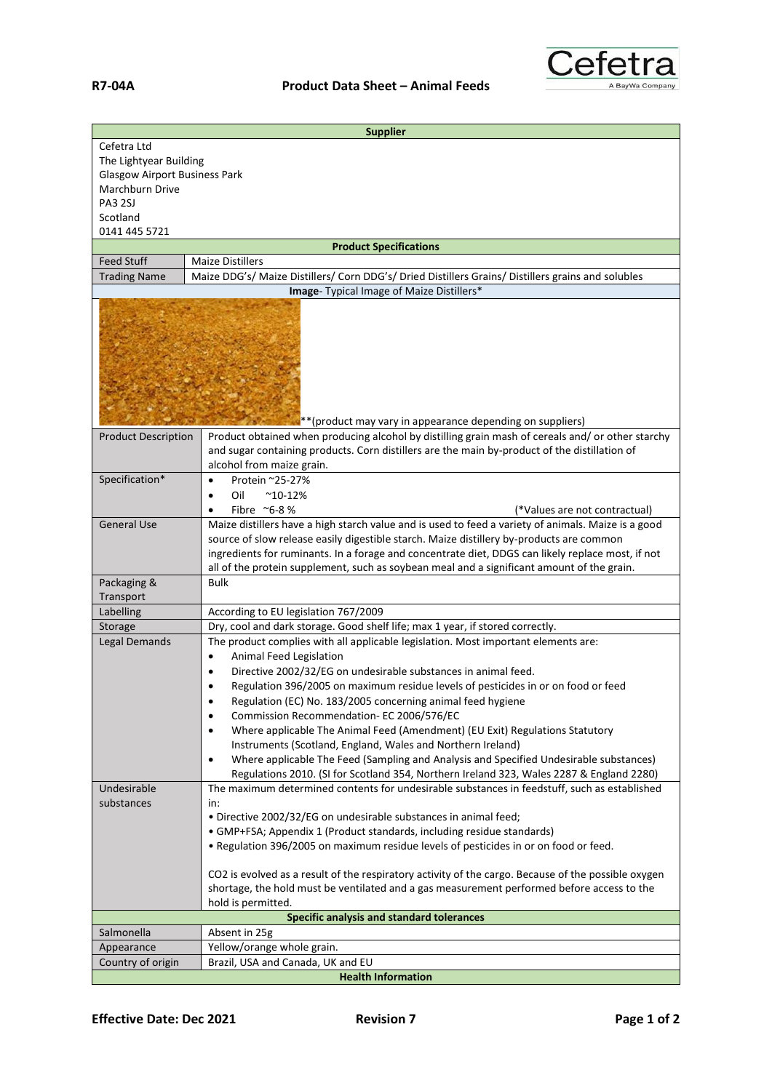

|                                                                 | <b>Supplier</b>                                                                                                                                                                                                                                                                                                                                                                                    |  |
|-----------------------------------------------------------------|----------------------------------------------------------------------------------------------------------------------------------------------------------------------------------------------------------------------------------------------------------------------------------------------------------------------------------------------------------------------------------------------------|--|
| Cefetra Ltd<br>The Lightyear Building                           |                                                                                                                                                                                                                                                                                                                                                                                                    |  |
| <b>Glasgow Airport Business Park</b>                            |                                                                                                                                                                                                                                                                                                                                                                                                    |  |
| Marchburn Drive                                                 |                                                                                                                                                                                                                                                                                                                                                                                                    |  |
| <b>PA3 2SJ</b>                                                  |                                                                                                                                                                                                                                                                                                                                                                                                    |  |
| Scotland                                                        |                                                                                                                                                                                                                                                                                                                                                                                                    |  |
| 0141 445 5721                                                   |                                                                                                                                                                                                                                                                                                                                                                                                    |  |
|                                                                 | <b>Product Specifications</b>                                                                                                                                                                                                                                                                                                                                                                      |  |
| <b>Feed Stuff</b>                                               | <b>Maize Distillers</b>                                                                                                                                                                                                                                                                                                                                                                            |  |
| <b>Trading Name</b>                                             | Maize DDG's/ Maize Distillers/ Corn DDG's/ Dried Distillers Grains/ Distillers grains and solubles                                                                                                                                                                                                                                                                                                 |  |
|                                                                 | Image- Typical Image of Maize Distillers*                                                                                                                                                                                                                                                                                                                                                          |  |
|                                                                 |                                                                                                                                                                                                                                                                                                                                                                                                    |  |
| <b>Product Description</b>                                      | **(product may vary in appearance depending on suppliers)<br>Product obtained when producing alcohol by distilling grain mash of cereals and/ or other starchy                                                                                                                                                                                                                                     |  |
|                                                                 | and sugar containing products. Corn distillers are the main by-product of the distillation of                                                                                                                                                                                                                                                                                                      |  |
|                                                                 | alcohol from maize grain.                                                                                                                                                                                                                                                                                                                                                                          |  |
| Specification*                                                  | Protein ~25-27%<br>$\bullet$                                                                                                                                                                                                                                                                                                                                                                       |  |
|                                                                 | Oil<br>$^{\sim}$ 10-12%<br>٠                                                                                                                                                                                                                                                                                                                                                                       |  |
|                                                                 | Fibre $\approx$ 6-8 %<br>(*Values are not contractual)<br>٠                                                                                                                                                                                                                                                                                                                                        |  |
| <b>General Use</b>                                              | Maize distillers have a high starch value and is used to feed a variety of animals. Maize is a good<br>source of slow release easily digestible starch. Maize distillery by-products are common<br>ingredients for ruminants. In a forage and concentrate diet, DDGS can likely replace most, if not<br>all of the protein supplement, such as soybean meal and a significant amount of the grain. |  |
| Packaging &                                                     | <b>Bulk</b>                                                                                                                                                                                                                                                                                                                                                                                        |  |
| Transport                                                       |                                                                                                                                                                                                                                                                                                                                                                                                    |  |
| Labelling                                                       | According to EU legislation 767/2009                                                                                                                                                                                                                                                                                                                                                               |  |
| Storage                                                         | Dry, cool and dark storage. Good shelf life; max 1 year, if stored correctly.                                                                                                                                                                                                                                                                                                                      |  |
| <b>Legal Demands</b>                                            | The product complies with all applicable legislation. Most important elements are:                                                                                                                                                                                                                                                                                                                 |  |
|                                                                 | Animal Feed Legislation<br>$\bullet$                                                                                                                                                                                                                                                                                                                                                               |  |
|                                                                 | Directive 2002/32/EG on undesirable substances in animal feed.<br>$\bullet$                                                                                                                                                                                                                                                                                                                        |  |
|                                                                 | Regulation 396/2005 on maximum residue levels of pesticides in or on food or feed                                                                                                                                                                                                                                                                                                                  |  |
|                                                                 | Regulation (EC) No. 183/2005 concerning animal feed hygiene                                                                                                                                                                                                                                                                                                                                        |  |
|                                                                 | Commission Recommendation- EC 2006/576/EC<br>$\bullet$                                                                                                                                                                                                                                                                                                                                             |  |
|                                                                 | Where applicable The Animal Feed (Amendment) (EU Exit) Regulations Statutory<br>$\bullet$                                                                                                                                                                                                                                                                                                          |  |
|                                                                 | Instruments (Scotland, England, Wales and Northern Ireland)                                                                                                                                                                                                                                                                                                                                        |  |
|                                                                 | Where applicable The Feed (Sampling and Analysis and Specified Undesirable substances)<br>$\bullet$<br>Regulations 2010. (SI for Scotland 354, Northern Ireland 323, Wales 2287 & England 2280)                                                                                                                                                                                                    |  |
| Undesirable                                                     | The maximum determined contents for undesirable substances in feedstuff, such as established                                                                                                                                                                                                                                                                                                       |  |
| substances                                                      | in:                                                                                                                                                                                                                                                                                                                                                                                                |  |
|                                                                 | . Directive 2002/32/EG on undesirable substances in animal feed;                                                                                                                                                                                                                                                                                                                                   |  |
|                                                                 | • GMP+FSA; Appendix 1 (Product standards, including residue standards)                                                                                                                                                                                                                                                                                                                             |  |
|                                                                 | . Regulation 396/2005 on maximum residue levels of pesticides in or on food or feed.                                                                                                                                                                                                                                                                                                               |  |
|                                                                 |                                                                                                                                                                                                                                                                                                                                                                                                    |  |
|                                                                 | CO2 is evolved as a result of the respiratory activity of the cargo. Because of the possible oxygen                                                                                                                                                                                                                                                                                                |  |
|                                                                 | shortage, the hold must be ventilated and a gas measurement performed before access to the                                                                                                                                                                                                                                                                                                         |  |
| hold is permitted.<br>Specific analysis and standard tolerances |                                                                                                                                                                                                                                                                                                                                                                                                    |  |
| Salmonella                                                      | Absent in 25g                                                                                                                                                                                                                                                                                                                                                                                      |  |
| Appearance                                                      | Yellow/orange whole grain.                                                                                                                                                                                                                                                                                                                                                                         |  |
| Country of origin                                               | Brazil, USA and Canada, UK and EU                                                                                                                                                                                                                                                                                                                                                                  |  |
|                                                                 | <b>Health Information</b>                                                                                                                                                                                                                                                                                                                                                                          |  |